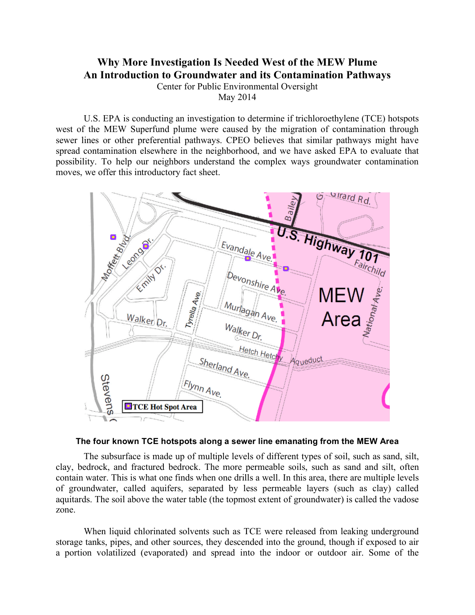## **Why More Investigation Is Needed West of the MEW Plume An Introduction to Groundwater and its Contamination Pathways**

Center for Public Environmental Oversight

May 2014

U.S. EPA is conducting an investigation to determine if trichloroethylene (TCE) hotspots west of the MEW Superfund plume were caused by the migration of contamination through sewer lines or other preferential pathways. CPEO believes that similar pathways might have spread contamination elsewhere in the neighborhood, and we have asked EPA to evaluate that possibility. To help our neighbors understand the complex ways groundwater contamination moves, we offer this introductory fact sheet.



## **The four known TCE hotspots along a sewer line emanating from the MEW Area**

The subsurface is made up of multiple levels of different types of soil, such as sand, silt, clay, bedrock, and fractured bedrock. The more permeable soils, such as sand and silt, often contain water. This is what one finds when one drills a well. In this area, there are multiple levels of groundwater, called aquifers, separated by less permeable layers (such as clay) called aquitards. The soil above the water table (the topmost extent of groundwater) is called the vadose zone.

When liquid chlorinated solvents such as TCE were released from leaking underground storage tanks, pipes, and other sources, they descended into the ground, though if exposed to air a portion volatilized (evaporated) and spread into the indoor or outdoor air. Some of the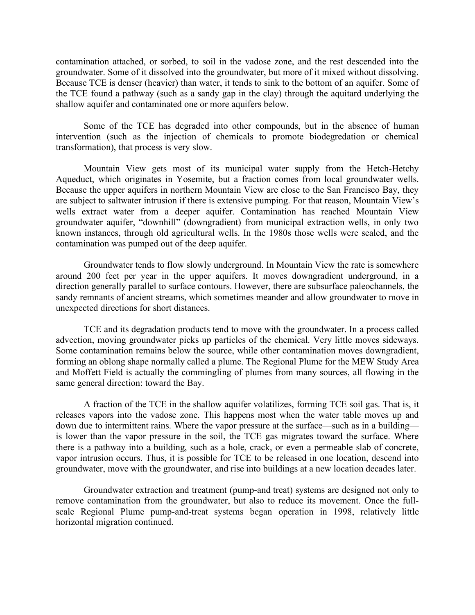contamination attached, or sorbed, to soil in the vadose zone, and the rest descended into the groundwater. Some of it dissolved into the groundwater, but more of it mixed without dissolving. Because TCE is denser (heavier) than water, it tends to sink to the bottom of an aquifer. Some of the TCE found a pathway (such as a sandy gap in the clay) through the aquitard underlying the shallow aquifer and contaminated one or more aquifers below.

Some of the TCE has degraded into other compounds, but in the absence of human intervention (such as the injection of chemicals to promote biodegredation or chemical transformation), that process is very slow.

Mountain View gets most of its municipal water supply from the Hetch-Hetchy Aqueduct, which originates in Yosemite, but a fraction comes from local groundwater wells. Because the upper aquifers in northern Mountain View are close to the San Francisco Bay, they are subject to saltwater intrusion if there is extensive pumping. For that reason, Mountain View's wells extract water from a deeper aquifer. Contamination has reached Mountain View groundwater aquifer, "downhill" (downgradient) from municipal extraction wells, in only two known instances, through old agricultural wells. In the 1980s those wells were sealed, and the contamination was pumped out of the deep aquifer.

Groundwater tends to flow slowly underground. In Mountain View the rate is somewhere around 200 feet per year in the upper aquifers. It moves downgradient underground, in a direction generally parallel to surface contours. However, there are subsurface paleochannels, the sandy remnants of ancient streams, which sometimes meander and allow groundwater to move in unexpected directions for short distances.

TCE and its degradation products tend to move with the groundwater. In a process called advection, moving groundwater picks up particles of the chemical. Very little moves sideways. Some contamination remains below the source, while other contamination moves downgradient, forming an oblong shape normally called a plume. The Regional Plume for the MEW Study Area and Moffett Field is actually the commingling of plumes from many sources, all flowing in the same general direction: toward the Bay.

A fraction of the TCE in the shallow aquifer volatilizes, forming TCE soil gas. That is, it releases vapors into the vadose zone. This happens most when the water table moves up and down due to intermittent rains. Where the vapor pressure at the surface—such as in a building is lower than the vapor pressure in the soil, the TCE gas migrates toward the surface. Where there is a pathway into a building, such as a hole, crack, or even a permeable slab of concrete, vapor intrusion occurs. Thus, it is possible for TCE to be released in one location, descend into groundwater, move with the groundwater, and rise into buildings at a new location decades later.

Groundwater extraction and treatment (pump-and treat) systems are designed not only to remove contamination from the groundwater, but also to reduce its movement. Once the fullscale Regional Plume pump-and-treat systems began operation in 1998, relatively little horizontal migration continued.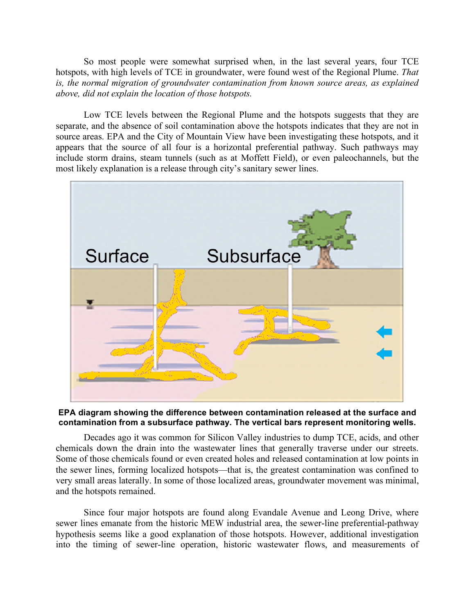So most people were somewhat surprised when, in the last several years, four TCE hotspots, with high levels of TCE in groundwater, were found west of the Regional Plume. *That is, the normal migration of groundwater contamination from known source areas, as explained above, did not explain the location of those hotspots.*

Low TCE levels between the Regional Plume and the hotspots suggests that they are separate, and the absence of soil contamination above the hotspots indicates that they are not in source areas. EPA and the City of Mountain View have been investigating these hotspots, and it appears that the source of all four is a horizontal preferential pathway. Such pathways may include storm drains, steam tunnels (such as at Moffett Field), or even paleochannels, but the most likely explanation is a release through city's sanitary sewer lines.



## **EPA diagram showing the difference between contamination released at the surface and contamination from a subsurface pathway. The vertical bars represent monitoring wells.**

Decades ago it was common for Silicon Valley industries to dump TCE, acids, and other chemicals down the drain into the wastewater lines that generally traverse under our streets. Some of those chemicals found or even created holes and released contamination at low points in the sewer lines, forming localized hotspots—that is, the greatest contamination was confined to very small areas laterally. In some of those localized areas, groundwater movement was minimal, and the hotspots remained.

Since four major hotspots are found along Evandale Avenue and Leong Drive, where sewer lines emanate from the historic MEW industrial area, the sewer-line preferential-pathway hypothesis seems like a good explanation of those hotspots. However, additional investigation into the timing of sewer-line operation, historic wastewater flows, and measurements of